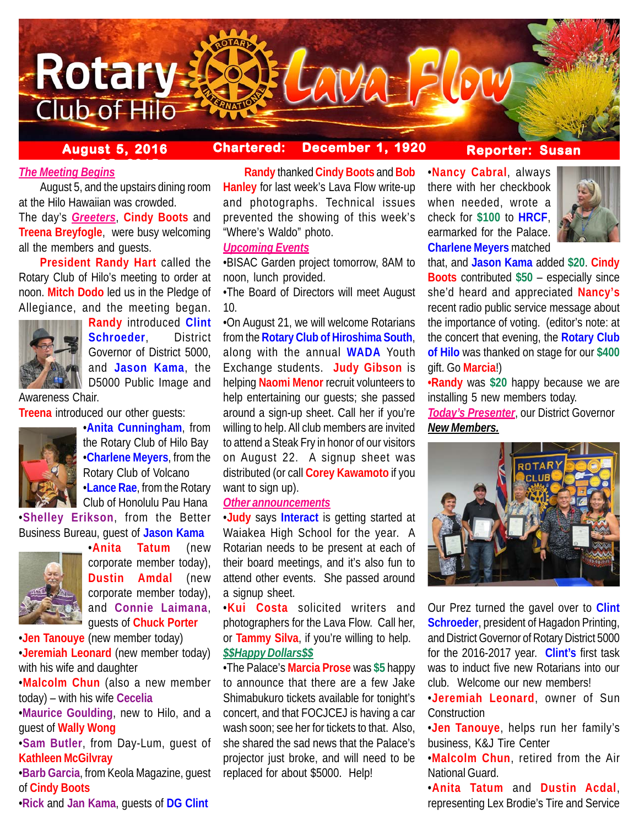

## **August 5, 2016 Chartered: December 1, 1920**

## **Reporter: Susan**

# *<u>The Meeting Begins</u>*

August 5, and the upstairs dining room at the Hilo Hawaiian was crowded. The day's *Greeters*, **Cindy Boots** and **Treena Breyfogle**, were busy welcoming all the members and guests.

**President Randy Hart** called the Rotary Club of Hilo's meeting to order at noon. **Mitch Dodo** led us in the Pledge of Allegiance, and the meeting began.



**Randy** introduced **Clint Schroeder**, District Governor of District 5000, and **Jason Kama**, the D5000 Public Image and

Awareness Chair.

**Treena** introduced our other guests:



•**Anita Cunningham**, from the Rotary Club of Hilo Bay •**Charlene Meyers**, from the Rotary Club of Volcano •**Lance Rae**, from the Rotary Club of Honolulu Pau Hana

•**Shelley Erikson**, from the Better Business Bureau, guest of **Jason Kama**



•**Anita Tatum** (new corporate member today), **Dustin Amdal** (new corporate member today), and **Connie Laimana**, guests of **Chuck Porter**

•**Jen Tanouye** (new member today) •**Jeremiah Leonard** (new member today) with his wife and daughter

•**Malcolm Chun** (also a new member today) – with his wife **Cecelia**

•**Maurice Goulding**, new to Hilo, and a guest of **Wally Wong**

•**Sam Butler**, from Day-Lum, guest of **Kathleen McGilvray**

•**Barb Garcia**, from Keola Magazine, guest of **Cindy Boots**

•**Rick** and **Jan Kama**, guests of **DG Clint**

**Randy** thanked **Cindy Boots** and **Bob Hanley** for last week's Lava Flow write-up and photographs. Technical issues prevented the showing of this week's "Where's Waldo" photo.

### *Upcoming Events*

•BISAC Garden project tomorrow, 8AM to noon, lunch provided.

•The Board of Directors will meet August 10.

•On August 21, we will welcome Rotarians from the **Rotary Club of Hiroshima South**, along with the annual **WADA** Youth Exchange students. **Judy Gibson** is helping **Naomi Menor** recruit volunteers to help entertaining our guests; she passed around a sign-up sheet. Call her if you're willing to help. All club members are invited to attend a Steak Fry in honor of our visitors on August 22. A signup sheet was distributed (or call **Corey Kawamoto** if you want to sign up).

### *Other announcements*

•**Judy** says **Interact** is getting started at Waiakea High School for the year. A Rotarian needs to be present at each of their board meetings, and it's also fun to attend other events. She passed around a signup sheet.

•**Kui Costa** solicited writers and photographers for the Lava Flow. Call her, or **Tammy Silva**, if you're willing to help. *\$\$Happy Dollars\$\$*

•The Palace's **Marcia Prose** was **\$5** happy to announce that there are a few Jake Shimabukuro tickets available for tonight's concert, and that FOCJCEJ is having a car wash soon; see her for tickets to that. Also, she shared the sad news that the Palace's projector just broke, and will need to be replaced for about \$5000. Help!

•**Nancy Cabral**, always there with her checkbook when needed, wrote a check for **\$100** to **HRCF**, earmarked for the Palace. **Charlene Meyers** matched



that, and **Jason Kama** added **\$20**. **Cindy Boots** contributed **\$50** – especially since she'd heard and appreciated **Nancy's** recent radio public service message about the importance of voting. (editor's note: at the concert that evening, the **Rotary Club of Hilo** was thanked on stage for our **\$400** gift. Go **Marcia**!)

**•Randy** was **\$20** happy because we are installing 5 new members today.

*Today's Presenter*, our District Governor *New Members.*



Our Prez turned the gavel over to **Clint Schroeder**, president of Hagadon Printing, and District Governor of Rotary District 5000 for the 2016-2017 year. **Clint's** first task was to induct five new Rotarians into our club. Welcome our new members!

•**Jeremiah Leonard**, owner of Sun **Construction** 

•**Jen Tanouye**, helps run her family's business, K&J Tire Center

•**Malcolm Chun**, retired from the Air National Guard.

•**Anita Tatum** and **Dustin Acdal**, representing Lex Brodie's Tire and Service